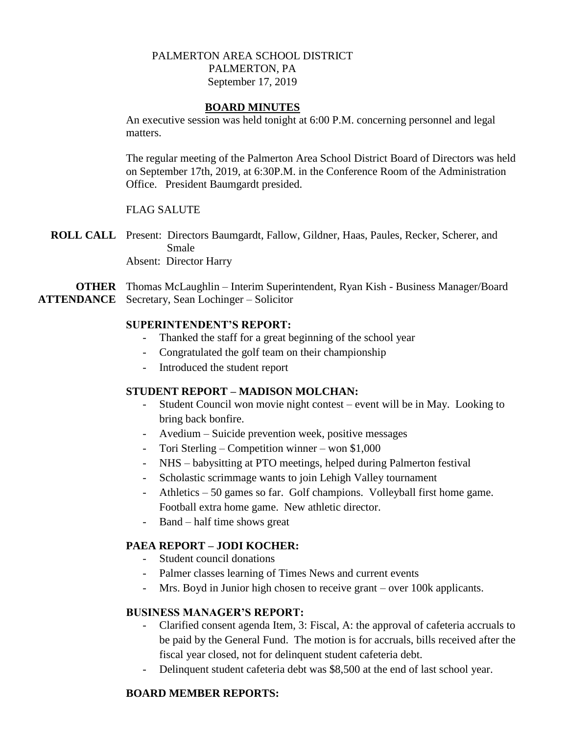## PALMERTON AREA SCHOOL DISTRICT PALMERTON, PA September 17, 2019

#### **BOARD MINUTES**

An executive session was held tonight at 6:00 P.M. concerning personnel and legal matters.

The regular meeting of the Palmerton Area School District Board of Directors was held on September 17th, 2019, at 6:30P.M. in the Conference Room of the Administration Office. President Baumgardt presided.

## FLAG SALUTE

**ROLL CALL** Present: Directors Baumgardt, Fallow, Gildner, Haas, Paules, Recker, Scherer, and Smale

Absent: Director Harry

**OTHER** Thomas McLaughlin – Interim Superintendent, Ryan Kish - Business Manager/Board **ATTENDANCE** Secretary, Sean Lochinger – Solicitor

#### **SUPERINTENDENT'S REPORT:**

- Thanked the staff for a great beginning of the school year
- Congratulated the golf team on their championship
- Introduced the student report

## **STUDENT REPORT – MADISON MOLCHAN:**

- Student Council won movie night contest event will be in May. Looking to bring back bonfire.
- Avedium Suicide prevention week, positive messages
- Tori Sterling Competition winner won \$1,000
- NHS babysitting at PTO meetings, helped during Palmerton festival
- Scholastic scrimmage wants to join Lehigh Valley tournament
- Athletics 50 games so far. Golf champions. Volleyball first home game. Football extra home game. New athletic director.
- Band half time shows great

#### **PAEA REPORT – JODI KOCHER:**

- Student council donations
- Palmer classes learning of Times News and current events
- Mrs. Boyd in Junior high chosen to receive grant over 100k applicants.

#### **BUSINESS MANAGER'S REPORT:**

- Clarified consent agenda Item, 3: Fiscal, A: the approval of cafeteria accruals to be paid by the General Fund. The motion is for accruals, bills received after the fiscal year closed, not for delinquent student cafeteria debt.
- Delinquent student cafeteria debt was \$8,500 at the end of last school year.

#### **BOARD MEMBER REPORTS:**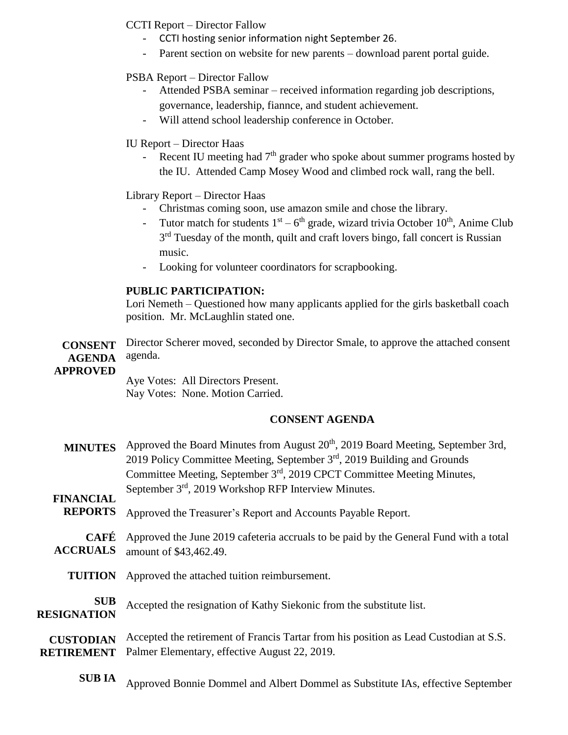## CCTI Report – Director Fallow

- CCTI hosting senior information night September 26.
- Parent section on website for new parents download parent portal guide.

## PSBA Report – Director Fallow

- Attended PSBA seminar received information regarding job descriptions, governance, leadership, fiannce, and student achievement.
- Will attend school leadership conference in October.

## IU Report – Director Haas

Recent IU meeting had  $7<sup>th</sup>$  grader who spoke about summer programs hosted by the IU. Attended Camp Mosey Wood and climbed rock wall, rang the bell.

# Library Report – Director Haas

- Christmas coming soon, use amazon smile and chose the library.
- Tutor match for students  $1<sup>st</sup> 6<sup>th</sup>$  grade, wizard trivia October  $10<sup>th</sup>$ , Anime Club 3<sup>rd</sup> Tuesday of the month, quilt and craft lovers bingo, fall concert is Russian music.
- Looking for volunteer coordinators for scrapbooking.

## **PUBLIC PARTICIPATION:**

Lori Nemeth – Questioned how many applicants applied for the girls basketball coach position. Mr. McLaughlin stated one.

**CONSENT AGENDA**  Director Scherer moved, seconded by Director Smale, to approve the attached consent agenda.

#### **APPROVED**

Aye Votes: All Directors Present. Nay Votes: None. Motion Carried.

## **CONSENT AGENDA**

| Approved the Board Minutes from August 20 <sup>th</sup> , 2019 Board Meeting, September 3rd,<br>2019 Policy Committee Meeting, September 3rd, 2019 Building and Grounds<br>Committee Meeting, September 3 <sup>rd</sup> , 2019 CPCT Committee Meeting Minutes, |
|----------------------------------------------------------------------------------------------------------------------------------------------------------------------------------------------------------------------------------------------------------------|
| September 3 <sup>rd</sup> , 2019 Workshop RFP Interview Minutes.                                                                                                                                                                                               |
| Approved the Treasurer's Report and Accounts Payable Report.                                                                                                                                                                                                   |
| Approved the June 2019 cafeteria accruals to be paid by the General Fund with a total<br>amount of \$43,462.49.                                                                                                                                                |
| Approved the attached tuition reimbursement.                                                                                                                                                                                                                   |
| Accepted the resignation of Kathy Siekonic from the substitute list.                                                                                                                                                                                           |
| Accepted the retirement of Francis Tartar from his position as Lead Custodian at S.S.<br>Palmer Elementary, effective August 22, 2019.                                                                                                                         |
|                                                                                                                                                                                                                                                                |

**SUB IA** Approved Bonnie Dommel and Albert Dommel as Substitute IAs, effective September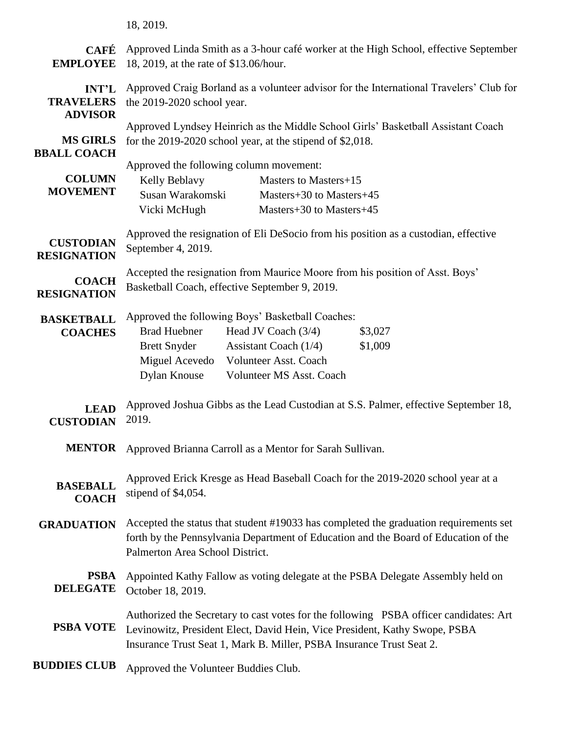|                                                    | 18, 2019.                                                                                                                                                                                                                                                                     |
|----------------------------------------------------|-------------------------------------------------------------------------------------------------------------------------------------------------------------------------------------------------------------------------------------------------------------------------------|
| <b>CAFÉ</b><br><b>EMPLOYEE</b>                     | Approved Linda Smith as a 3-hour café worker at the High School, effective September<br>18, 2019, at the rate of \$13.06/hour.                                                                                                                                                |
| <b>INT'L</b><br><b>TRAVELERS</b><br><b>ADVISOR</b> | Approved Craig Borland as a volunteer advisor for the International Travelers' Club for<br>the 2019-2020 school year.                                                                                                                                                         |
| <b>MS GIRLS</b><br><b>BBALL COACH</b>              | Approved Lyndsey Heinrich as the Middle School Girls' Basketball Assistant Coach<br>for the $2019-2020$ school year, at the stipend of \$2,018.                                                                                                                               |
| <b>COLUMN</b><br><b>MOVEMENT</b>                   | Approved the following column movement:<br>Kelly Beblavy<br>Masters to Masters+15<br>Susan Warakomski<br>Masters+30 to Masters+45<br>Vicki McHugh<br>Masters+30 to Masters+45                                                                                                 |
| <b>CUSTODIAN</b><br><b>RESIGNATION</b>             | Approved the resignation of Eli DeSocio from his position as a custodian, effective<br>September 4, 2019.                                                                                                                                                                     |
| <b>COACH</b><br><b>RESIGNATION</b>                 | Accepted the resignation from Maurice Moore from his position of Asst. Boys'<br>Basketball Coach, effective September 9, 2019.                                                                                                                                                |
| <b>BASKETBALL</b><br><b>COACHES</b>                | Approved the following Boys' Basketball Coaches:<br><b>Brad Huebner</b><br>Head JV Coach $(3/4)$<br>\$3,027<br>\$1,009<br><b>Brett Snyder</b><br>Assistant Coach $(1/4)$<br>Miguel Acevedo<br><b>Volunteer Asst. Coach</b><br><b>Dylan Knouse</b><br>Volunteer MS Asst. Coach |
| <b>LEAD</b><br><b>CUSTODIAN</b>                    | Approved Joshua Gibbs as the Lead Custodian at S.S. Palmer, effective September 18,<br>2019.                                                                                                                                                                                  |
| <b>MENTOR</b>                                      | Approved Brianna Carroll as a Mentor for Sarah Sullivan.                                                                                                                                                                                                                      |
| <b>BASEBALL</b><br><b>COACH</b>                    | Approved Erick Kresge as Head Baseball Coach for the 2019-2020 school year at a<br>stipend of \$4,054.                                                                                                                                                                        |
| <b>GRADUATION</b>                                  | Accepted the status that student #19033 has completed the graduation requirements set<br>forth by the Pennsylvania Department of Education and the Board of Education of the<br>Palmerton Area School District.                                                               |
| <b>PSBA</b><br><b>DELEGATE</b>                     | Appointed Kathy Fallow as voting delegate at the PSBA Delegate Assembly held on<br>October 18, 2019.                                                                                                                                                                          |
| <b>PSBA VOTE</b>                                   | Authorized the Secretary to cast votes for the following PSBA officer candidates: Art<br>Levinowitz, President Elect, David Hein, Vice President, Kathy Swope, PSBA<br>Insurance Trust Seat 1, Mark B. Miller, PSBA Insurance Trust Seat 2.                                   |
| <b>BUDDIES CLUB</b>                                | Approved the Volunteer Buddies Club.                                                                                                                                                                                                                                          |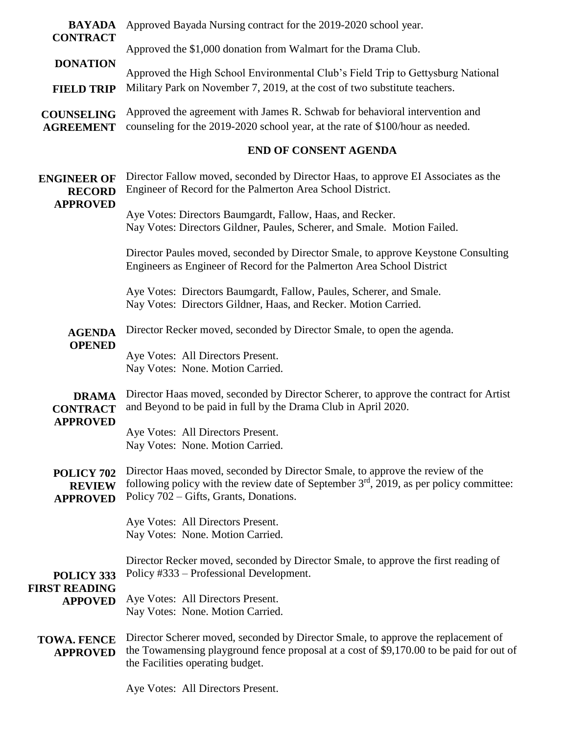| <b>BAYADA</b><br><b>CONTRACT</b>                       | Approved Bayada Nursing contract for the 2019-2020 school year.                                                                                                                                                      |
|--------------------------------------------------------|----------------------------------------------------------------------------------------------------------------------------------------------------------------------------------------------------------------------|
|                                                        | Approved the \$1,000 donation from Walmart for the Drama Club.                                                                                                                                                       |
| <b>DONATION</b><br><b>FIELD TRIP</b>                   | Approved the High School Environmental Club's Field Trip to Gettysburg National<br>Military Park on November 7, 2019, at the cost of two substitute teachers.                                                        |
| <b>COUNSELING</b><br><b>AGREEMENT</b>                  | Approved the agreement with James R. Schwab for behavioral intervention and<br>counseling for the 2019-2020 school year, at the rate of \$100/hour as needed.                                                        |
|                                                        | <b>END OF CONSENT AGENDA</b>                                                                                                                                                                                         |
| <b>ENGINEER OF</b><br><b>RECORD</b><br><b>APPROVED</b> | Director Fallow moved, seconded by Director Haas, to approve EI Associates as the<br>Engineer of Record for the Palmerton Area School District.                                                                      |
|                                                        | Aye Votes: Directors Baumgardt, Fallow, Haas, and Recker.<br>Nay Votes: Directors Gildner, Paules, Scherer, and Smale. Motion Failed.                                                                                |
|                                                        | Director Paules moved, seconded by Director Smale, to approve Keystone Consulting<br>Engineers as Engineer of Record for the Palmerton Area School District                                                          |
|                                                        | Aye Votes: Directors Baumgardt, Fallow, Paules, Scherer, and Smale.<br>Nay Votes: Directors Gildner, Haas, and Recker. Motion Carried.                                                                               |
| <b>AGENDA</b><br><b>OPENED</b>                         | Director Recker moved, seconded by Director Smale, to open the agenda.                                                                                                                                               |
|                                                        | Aye Votes: All Directors Present.<br>Nay Votes: None. Motion Carried.                                                                                                                                                |
| <b>DRAMA</b><br><b>CONTRACT</b><br><b>APPROVED</b>     | Director Haas moved, seconded by Director Scherer, to approve the contract for Artist<br>and Beyond to be paid in full by the Drama Club in April 2020.                                                              |
|                                                        | Aye Votes: All Directors Present.<br>Nay Votes: None. Motion Carried.                                                                                                                                                |
| POLICY 702<br><b>REVIEW</b><br><b>APPROVED</b>         | Director Haas moved, seconded by Director Smale, to approve the review of the<br>following policy with the review date of September $3rd$ , 2019, as per policy committee:<br>Policy 702 – Gifts, Grants, Donations. |
|                                                        | Aye Votes: All Directors Present.<br>Nay Votes: None. Motion Carried.                                                                                                                                                |
| POLICY 333<br><b>FIRST READING</b><br><b>APPOVED</b>   | Director Recker moved, seconded by Director Smale, to approve the first reading of<br>Policy #333 – Professional Development.                                                                                        |
|                                                        | Aye Votes: All Directors Present.<br>Nay Votes: None. Motion Carried.                                                                                                                                                |
| <b>TOWA. FENCE</b><br><b>APPROVED</b>                  | Director Scherer moved, seconded by Director Smale, to approve the replacement of<br>the Towamensing playground fence proposal at a cost of \$9,170.00 to be paid for out of<br>the Facilities operating budget.     |
|                                                        |                                                                                                                                                                                                                      |

Aye Votes: All Directors Present.